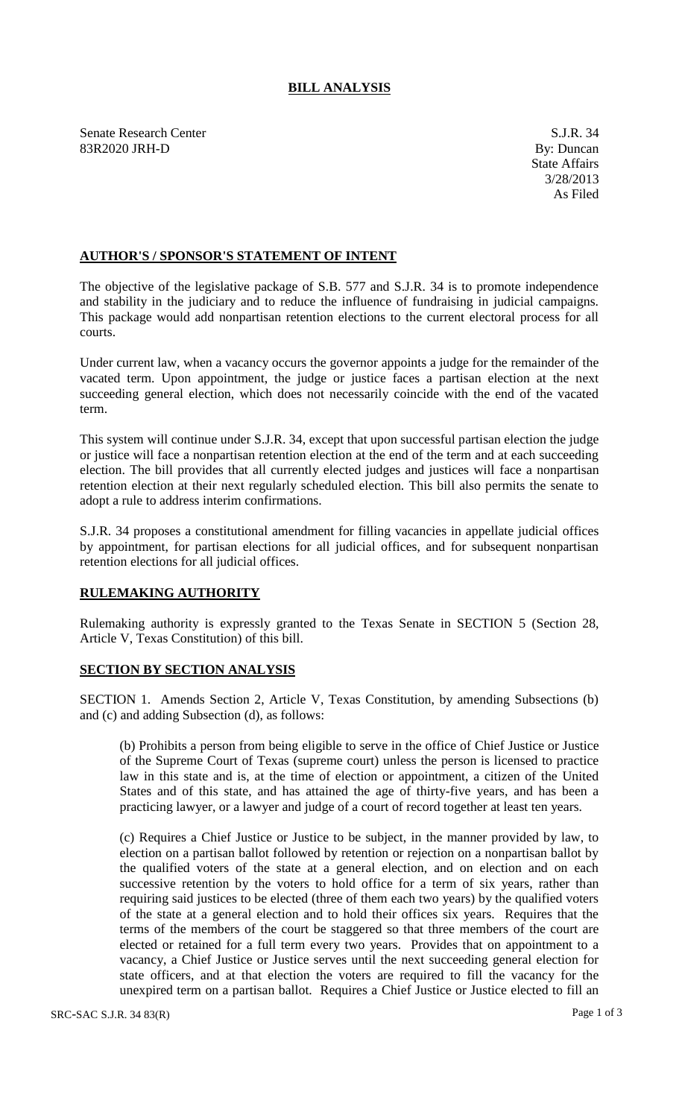## **BILL ANALYSIS**

Senate Research Center S.J.R. 34 83R2020 JRH-D By: Duncan

## **AUTHOR'S / SPONSOR'S STATEMENT OF INTENT**

The objective of the legislative package of S.B. 577 and S.J.R. 34 is to promote independence and stability in the judiciary and to reduce the influence of fundraising in judicial campaigns. This package would add nonpartisan retention elections to the current electoral process for all courts.

Under current law, when a vacancy occurs the governor appoints a judge for the remainder of the vacated term. Upon appointment, the judge or justice faces a partisan election at the next succeeding general election, which does not necessarily coincide with the end of the vacated term.

This system will continue under S.J.R. 34, except that upon successful partisan election the judge or justice will face a nonpartisan retention election at the end of the term and at each succeeding election. The bill provides that all currently elected judges and justices will face a nonpartisan retention election at their next regularly scheduled election. This bill also permits the senate to adopt a rule to address interim confirmations.

S.J.R. 34 proposes a constitutional amendment for filling vacancies in appellate judicial offices by appointment, for partisan elections for all judicial offices, and for subsequent nonpartisan retention elections for all judicial offices.

## **RULEMAKING AUTHORITY**

Rulemaking authority is expressly granted to the Texas Senate in SECTION 5 (Section 28, Article V, Texas Constitution) of this bill.

## **SECTION BY SECTION ANALYSIS**

SECTION 1. Amends Section 2, Article V, Texas Constitution, by amending Subsections (b) and (c) and adding Subsection (d), as follows:

(b) Prohibits a person from being eligible to serve in the office of Chief Justice or Justice of the Supreme Court of Texas (supreme court) unless the person is licensed to practice law in this state and is, at the time of election or appointment, a citizen of the United States and of this state, and has attained the age of thirty-five years, and has been a practicing lawyer, or a lawyer and judge of a court of record together at least ten years.

(c) Requires a Chief Justice or Justice to be subject, in the manner provided by law, to election on a partisan ballot followed by retention or rejection on a nonpartisan ballot by the qualified voters of the state at a general election, and on election and on each successive retention by the voters to hold office for a term of six years, rather than requiring said justices to be elected (three of them each two years) by the qualified voters of the state at a general election and to hold their offices six years. Requires that the terms of the members of the court be staggered so that three members of the court are elected or retained for a full term every two years. Provides that on appointment to a vacancy, a Chief Justice or Justice serves until the next succeeding general election for state officers, and at that election the voters are required to fill the vacancy for the unexpired term on a partisan ballot. Requires a Chief Justice or Justice elected to fill an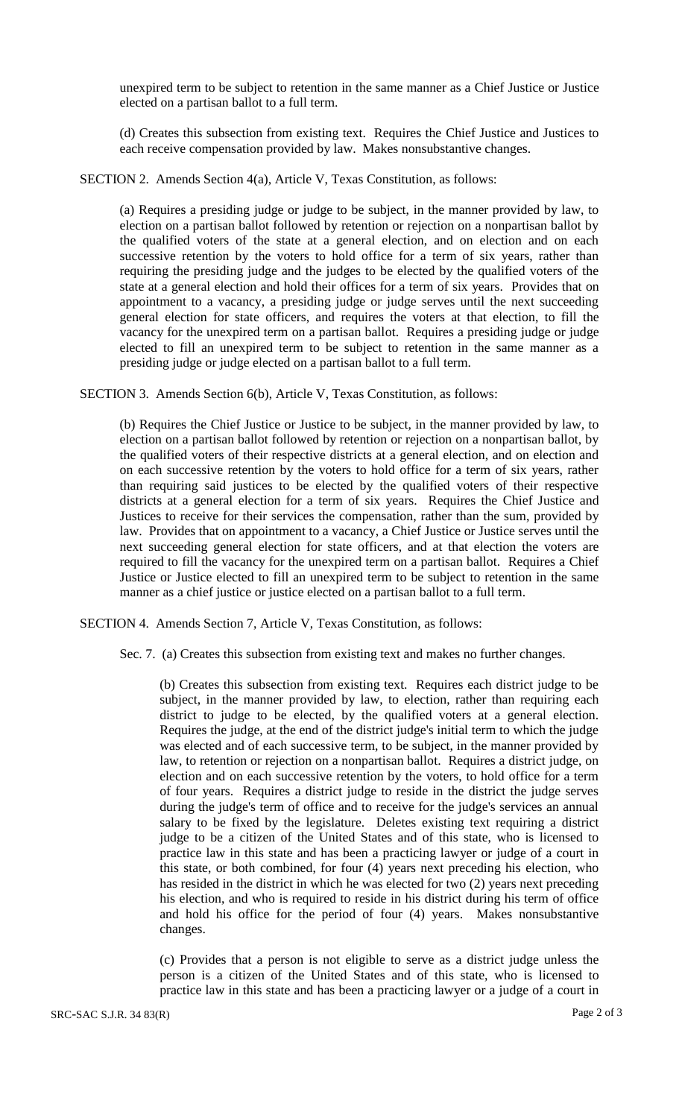unexpired term to be subject to retention in the same manner as a Chief Justice or Justice elected on a partisan ballot to a full term.

(d) Creates this subsection from existing text. Requires the Chief Justice and Justices to each receive compensation provided by law. Makes nonsubstantive changes.

SECTION 2. Amends Section 4(a), Article V, Texas Constitution, as follows:

(a) Requires a presiding judge or judge to be subject, in the manner provided by law, to election on a partisan ballot followed by retention or rejection on a nonpartisan ballot by the qualified voters of the state at a general election, and on election and on each successive retention by the voters to hold office for a term of six years, rather than requiring the presiding judge and the judges to be elected by the qualified voters of the state at a general election and hold their offices for a term of six years. Provides that on appointment to a vacancy, a presiding judge or judge serves until the next succeeding general election for state officers, and requires the voters at that election, to fill the vacancy for the unexpired term on a partisan ballot. Requires a presiding judge or judge elected to fill an unexpired term to be subject to retention in the same manner as a presiding judge or judge elected on a partisan ballot to a full term.

SECTION 3. Amends Section 6(b), Article V, Texas Constitution, as follows:

(b) Requires the Chief Justice or Justice to be subject, in the manner provided by law, to election on a partisan ballot followed by retention or rejection on a nonpartisan ballot, by the qualified voters of their respective districts at a general election, and on election and on each successive retention by the voters to hold office for a term of six years, rather than requiring said justices to be elected by the qualified voters of their respective districts at a general election for a term of six years. Requires the Chief Justice and Justices to receive for their services the compensation, rather than the sum, provided by law. Provides that on appointment to a vacancy, a Chief Justice or Justice serves until the next succeeding general election for state officers, and at that election the voters are required to fill the vacancy for the unexpired term on a partisan ballot. Requires a Chief Justice or Justice elected to fill an unexpired term to be subject to retention in the same manner as a chief justice or justice elected on a partisan ballot to a full term.

SECTION 4. Amends Section 7, Article V, Texas Constitution, as follows:

Sec. 7. (a) Creates this subsection from existing text and makes no further changes.

(b) Creates this subsection from existing text. Requires each district judge to be subject, in the manner provided by law, to election, rather than requiring each district to judge to be elected, by the qualified voters at a general election. Requires the judge, at the end of the district judge's initial term to which the judge was elected and of each successive term, to be subject, in the manner provided by law, to retention or rejection on a nonpartisan ballot. Requires a district judge, on election and on each successive retention by the voters, to hold office for a term of four years. Requires a district judge to reside in the district the judge serves during the judge's term of office and to receive for the judge's services an annual salary to be fixed by the legislature. Deletes existing text requiring a district judge to be a citizen of the United States and of this state, who is licensed to practice law in this state and has been a practicing lawyer or judge of a court in this state, or both combined, for four (4) years next preceding his election, who has resided in the district in which he was elected for two (2) years next preceding his election, and who is required to reside in his district during his term of office and hold his office for the period of four (4) years. Makes nonsubstantive changes.

(c) Provides that a person is not eligible to serve as a district judge unless the person is a citizen of the United States and of this state, who is licensed to practice law in this state and has been a practicing lawyer or a judge of a court in